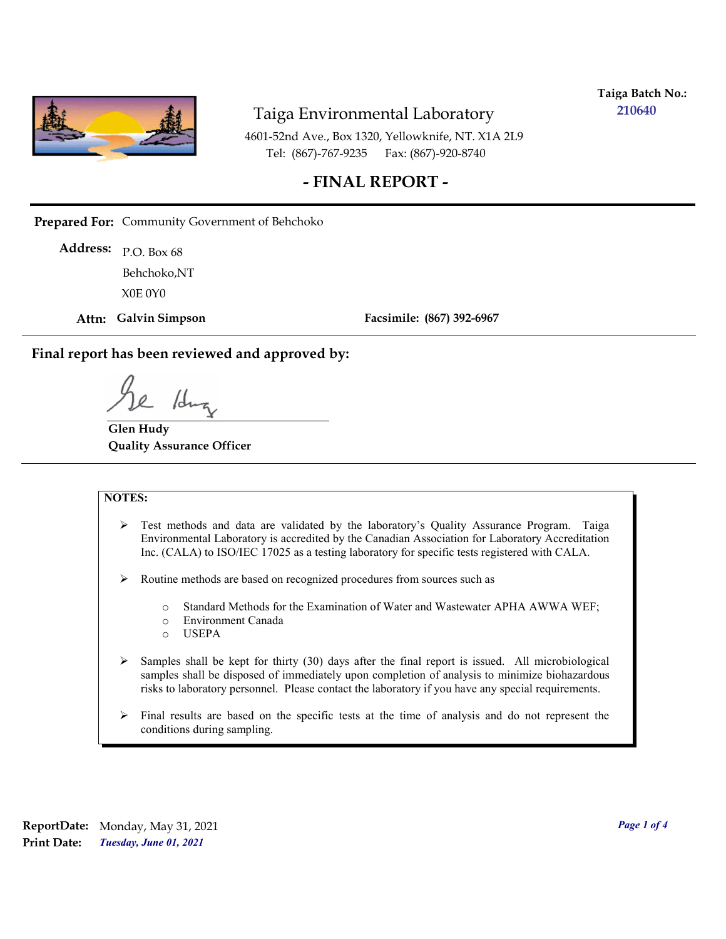

**Taiga Batch No.: 210640**

4601-52nd Ave., Box 1320, Yellowknife, NT. X1A 2L9 Tel: (867)-767-9235 Fax: (867)-920-8740

## **- FINAL REPORT -**

**Prepared For:** Community Government of Behchoko

P.O. Box 68 **Address:** X0E 0Y0 Behchoko,NT

**Attn: Galvin Simpson**

**Facsimile: (867) 392-6967**

**Final report has been reviewed and approved by:**

/dr

**Glen Hudy Quality Assurance Officer**

#### **NOTES:**

- $\triangleright$  Test methods and data are validated by the laboratory's Quality Assurance Program. Taiga Environmental Laboratory is accredited by the Canadian Association for Laboratory Accreditation Inc. (CALA) to ISO/IEC 17025 as a testing laboratory for specific tests registered with CALA.
- Routine methods are based on recognized procedures from sources such as
	- o Standard Methods for the Examination of Water and Wastewater APHA AWWA WEF;
	- o Environment Canada
	- o USEPA
- $\triangleright$  Samples shall be kept for thirty (30) days after the final report is issued. All microbiological samples shall be disposed of immediately upon completion of analysis to minimize biohazardous risks to laboratory personnel. Please contact the laboratory if you have any special requirements.
- $\triangleright$  Final results are based on the specific tests at the time of analysis and do not represent the conditions during sampling.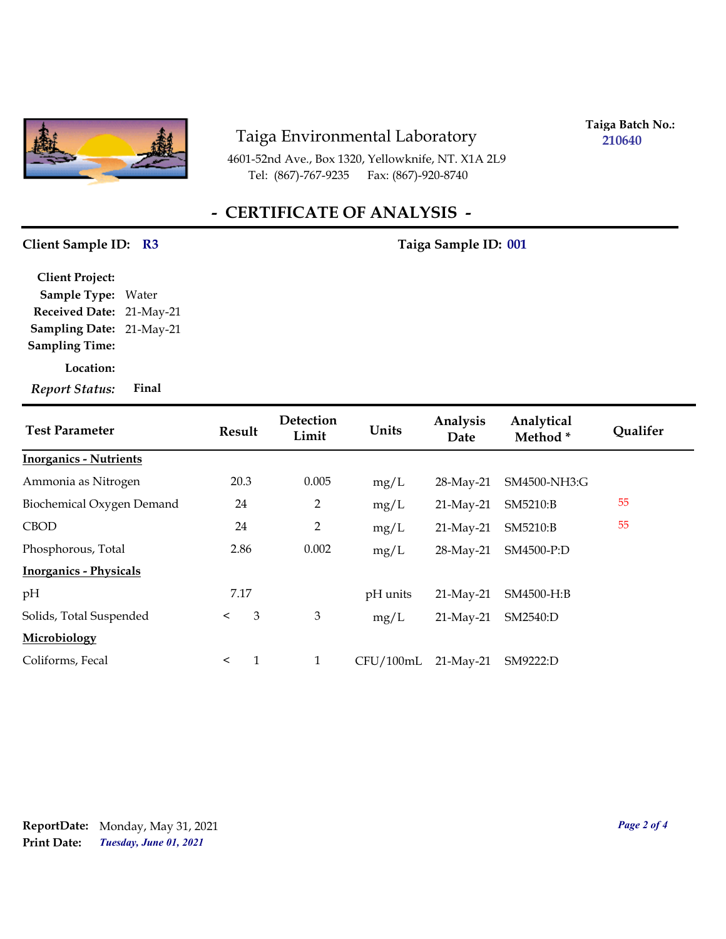

4601-52nd Ave., Box 1320, Yellowknife, NT. X1A 2L9 Tel: (867)-767-9235 Fax: (867)-920-8740

**Taiga Batch No.: 210640**

# **- CERTIFICATE OF ANALYSIS -**

## Client Sample ID: R3 Taiga Sample ID: 001

| <b>Client Project:</b>    |       |
|---------------------------|-------|
| <b>Sample Type: Water</b> |       |
| Received Date: 21-May-21  |       |
| Sampling Date: 21-May-21  |       |
| <b>Sampling Time:</b>     |       |
| Location:                 |       |
| <b>Report Status:</b>     | Final |

| <b>Test Parameter</b>         | Result  |   | Detection<br>Limit | Units     | Analysis<br>Date | Analytical<br>Method* | <b>Qualifer</b> |
|-------------------------------|---------|---|--------------------|-----------|------------------|-----------------------|-----------------|
| <b>Inorganics - Nutrients</b> |         |   |                    |           |                  |                       |                 |
| Ammonia as Nitrogen           | 20.3    |   | 0.005              | mg/L      | 28-May-21        | SM4500-NH3:G          |                 |
| Biochemical Oxygen Demand     | 24      |   | $\overline{2}$     | mg/L      | 21-May-21        | SM5210:B              | 55              |
| <b>CBOD</b>                   | 24      |   | 2                  | mg/L      | $21$ -May-21     | SM5210:B              | 55              |
| Phosphorous, Total            | 2.86    |   | 0.002              | mg/L      | 28-May-21        | SM4500-P:D            |                 |
| <b>Inorganics - Physicals</b> |         |   |                    |           |                  |                       |                 |
| pH                            | 7.17    |   |                    | pH units  | $21$ -May-21     | SM4500-H:B            |                 |
| Solids, Total Suspended       | $\prec$ | 3 | 3                  | mg/L      | $21$ -May-21     | SM2540:D              |                 |
| Microbiology                  |         |   |                    |           |                  |                       |                 |
| Coliforms, Fecal              | $\prec$ | 1 | $\mathbf{1}$       | CFU/100mL | $21$ -May-21     | SM9222:D              |                 |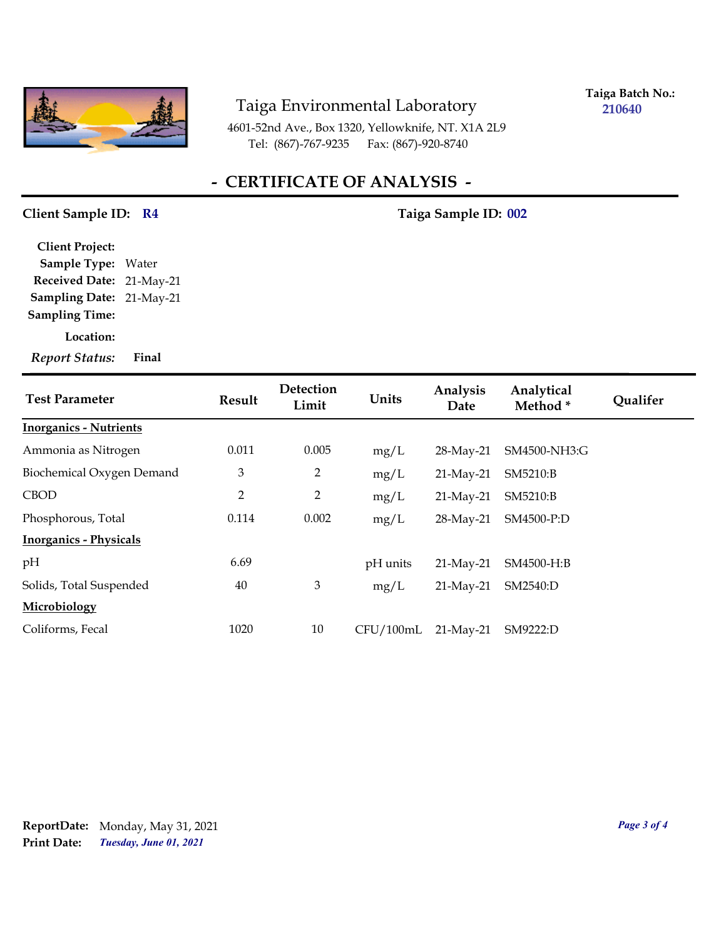

**Taiga Batch No.: 210640**

4601-52nd Ave., Box 1320, Yellowknife, NT. X1A 2L9 Tel: (867)-767-9235 Fax: (867)-920-8740

# **- CERTIFICATE OF ANALYSIS -**

## Client Sample ID: R4 7aiga Sample ID: 002

**Sampling Date:** 21-May-21 **Received Date:** 21-May-21 **Client Project: Sample Type:** Water **Sampling Time:**

**Location:**

*Report Status:* **Final**

| <b>Test Parameter</b>         | Result         | Detection<br>Limit | Units     | Analysis<br>Date | Analytical<br>Method * | <b>Qualifer</b> |
|-------------------------------|----------------|--------------------|-----------|------------------|------------------------|-----------------|
| <b>Inorganics - Nutrients</b> |                |                    |           |                  |                        |                 |
| Ammonia as Nitrogen           | 0.011          | 0.005              | mg/L      | 28-May-21        | SM4500-NH3:G           |                 |
| Biochemical Oxygen Demand     | 3              | $\overline{2}$     | mg/L      | $21$ -May-21     | SM5210:B               |                 |
| <b>CBOD</b>                   | $\overline{2}$ | $\overline{2}$     | mg/L      | $21$ -May-21     | SM5210:B               |                 |
| Phosphorous, Total            | 0.114          | 0.002              | mg/L      | 28-May-21        | SM4500-P:D             |                 |
| <b>Inorganics - Physicals</b> |                |                    |           |                  |                        |                 |
| pH                            | 6.69           |                    | pH units  | $21$ -May-21     | SM4500-H:B             |                 |
| Solids, Total Suspended       | 40             | 3                  | mg/L      | 21-May-21        | SM2540:D               |                 |
| Microbiology                  |                |                    |           |                  |                        |                 |
| Coliforms, Fecal              | 1020           | 10                 | CFU/100mL | $21$ -May-21     | SM9222:D               |                 |